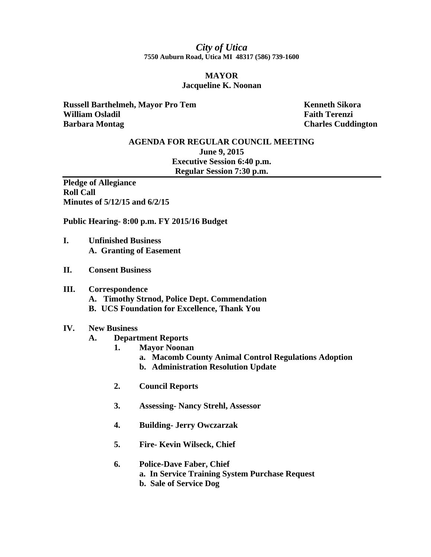*City of Utica*  **7550 Auburn Road, Utica MI 48317 (586) 739-1600** 

### **MAYOR Jacqueline K. Noonan**

**Russell Barthelmeh, Mayor Pro Tem Kenneth Sikora William Osladil Faith Terenzi Faith Terenzi Barbara Montag Charles Cuddington Charles Cuddington** 

# **AGENDA FOR REGULAR COUNCIL MEETING June 9, 2015 Executive Session 6:40 p.m. Regular Session 7:30 p.m.**

**Pledge of Allegiance Roll Call Minutes of 5/12/15 and 6/2/15** 

**Public Hearing- 8:00 p.m. FY 2015/16 Budget** 

- **I. Unfinished Business A. Granting of Easement**
- **II. Consent Business**

#### **III. Correspondence**

- **A. Timothy Strnod, Police Dept. Commendation**
- **B. UCS Foundation for Excellence, Thank You**

#### **IV. New Business**

- **A. Department Reports** 
	- **1. Mayor Noonan** 
		- **a. Macomb County Animal Control Regulations Adoption**
		- **b. Administration Resolution Update**
	- **2. Council Reports**
	- **3. Assessing- Nancy Strehl, Assessor**
	- **4. Building- Jerry Owczarzak**
	- **5. Fire- Kevin Wilseck, Chief**

## **6. Police-Dave Faber, Chief a. In Service Training System Purchase Request b. Sale of Service Dog**